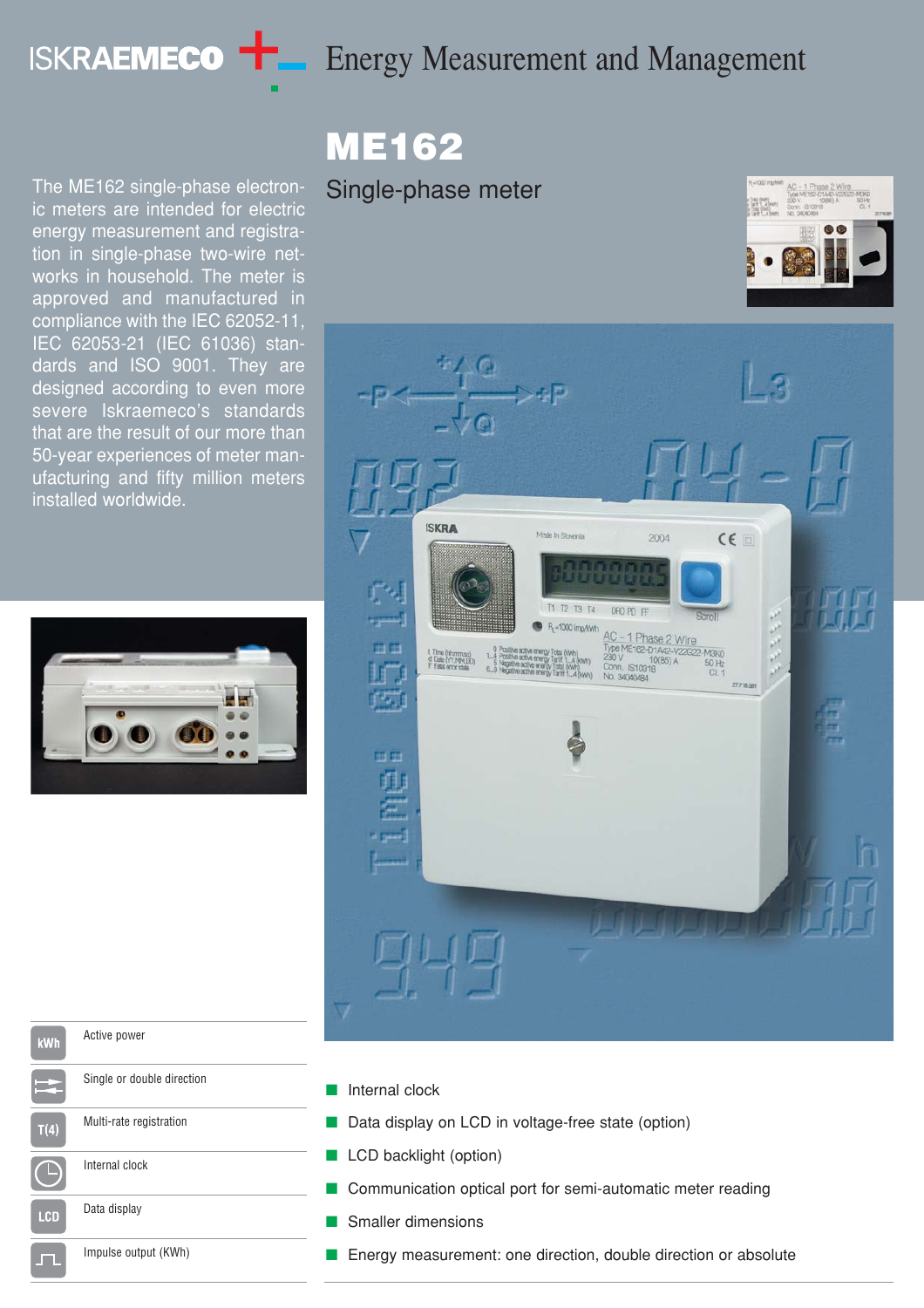# **ISKRAEMECO THE Energy Measurement and Management**

The ME162 single-phase electronic meters are intended for electric energy measurement and registration in single-phase two-wire networks in household. The meter is approved and manufactured in compliance with the IEC 62052-11, IEC 62053-21 (IEC 61036) standards and ISO 9001. They are designed according to even more severe Iskraemeco's standards that are the result of our more than 50-year experiences of meter manufacturing and fifty million meters installed worldwide.



# ME162

# Single-phase meter